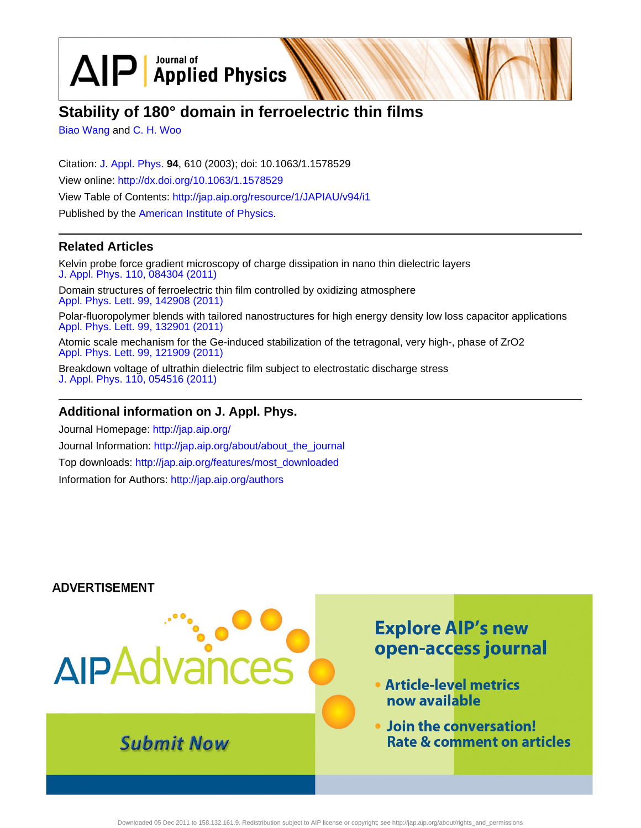$\text{AP}$  Applied Physics

# **Stability of 180° domain in ferroelectric thin films**

[Biao Wang](http://jap.aip.org/search?sortby=newestdate&q=&searchzone=2&searchtype=searchin&faceted=faceted&key=AIP_ALL&possible1=Biao Wang&possible1zone=author&alias=&displayid=AIP&ver=pdfcov) and [C. H. Woo](http://jap.aip.org/search?sortby=newestdate&q=&searchzone=2&searchtype=searchin&faceted=faceted&key=AIP_ALL&possible1=C. H. Woo&possible1zone=author&alias=&displayid=AIP&ver=pdfcov)

Citation: [J. Appl. Phys.](http://jap.aip.org/?ver=pdfcov) **94**, 610 (2003); doi: 10.1063/1.1578529 View online: [http://dx.doi.org/10.1063/1.1578529](http://link.aip.org/link/doi/10.1063/1.1578529?ver=pdfcov) View Table of Contents: [http://jap.aip.org/resource/1/JAPIAU/v94/i1](http://jap.aip.org/resource/1/JAPIAU/v94/i1?ver=pdfcov) Published by the [American Institute of Physics.](http://www.aip.org/?ver=pdfcov)

## **Related Articles**

Kelvin probe force gradient microscopy of charge dissipation in nano thin dielectric layers [J. Appl. Phys. 110, 084304 \(2011\)](http://link.aip.org/link/doi/10.1063/1.3651396?ver=pdfcov)

Domain structures of ferroelectric thin film controlled by oxidizing atmosphere [Appl. Phys. Lett. 99, 142908 \(2011\)](http://link.aip.org/link/doi/10.1063/1.3646387?ver=pdfcov)

Polar-fluoropolymer blends with tailored nanostructures for high energy density low loss capacitor applications [Appl. Phys. Lett. 99, 132901 \(2011\)](http://link.aip.org/link/doi/10.1063/1.3645009?ver=pdfcov)

Atomic scale mechanism for the Ge-induced stabilization of the tetragonal, very high-, phase of ZrO2 [Appl. Phys. Lett. 99, 121909 \(2011\)](http://link.aip.org/link/doi/10.1063/1.3641902?ver=pdfcov)

Breakdown voltage of ultrathin dielectric film subject to electrostatic discharge stress [J. Appl. Phys. 110, 054516 \(2011\)](http://link.aip.org/link/doi/10.1063/1.3633527?ver=pdfcov)

## **Additional information on J. Appl. Phys.**

Journal Homepage: [http://jap.aip.org/](http://jap.aip.org/?ver=pdfcov) Journal Information: [http://jap.aip.org/about/about\\_the\\_journal](http://jap.aip.org/about/about_the_journal?ver=pdfcov) Top downloads: [http://jap.aip.org/features/most\\_downloaded](http://jap.aip.org/features/most_downloaded?ver=pdfcov) Information for Authors: [http://jap.aip.org/authors](http://jap.aip.org/authors?ver=pdfcov)

### **ADVERTISEMENT**

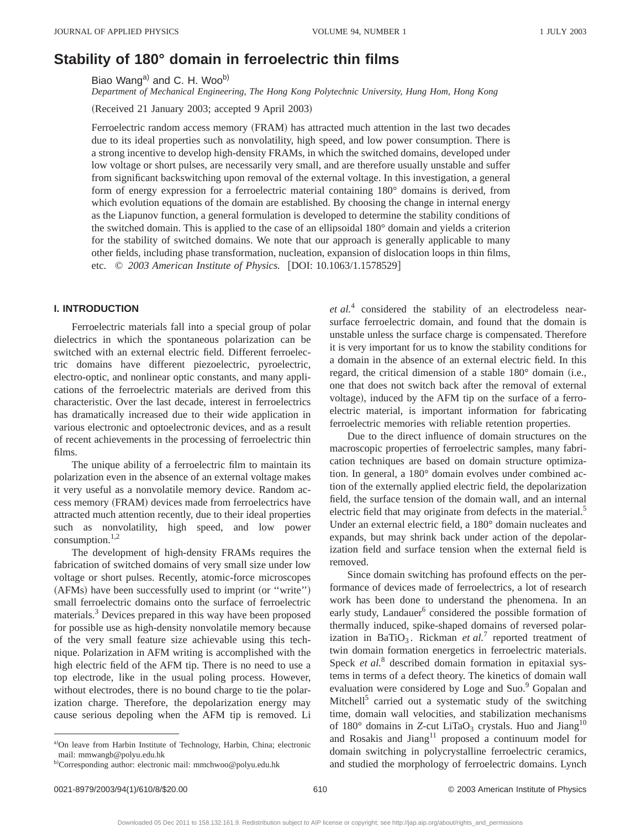# **Stability of 180° domain in ferroelectric thin films**

Biao Wang<sup>a)</sup> and C. H. Woo<sup>b)</sup>

*Department of Mechanical Engineering, The Hong Kong Polytechnic University, Hung Hom, Hong Kong*

(Received 21 January 2003; accepted 9 April 2003)

Ferroelectric random access memory (FRAM) has attracted much attention in the last two decades due to its ideal properties such as nonvolatility, high speed, and low power consumption. There is a strong incentive to develop high-density FRAMs, in which the switched domains, developed under low voltage or short pulses, are necessarily very small, and are therefore usually unstable and suffer from significant backswitching upon removal of the external voltage. In this investigation, a general form of energy expression for a ferroelectric material containing 180° domains is derived, from which evolution equations of the domain are established. By choosing the change in internal energy as the Liapunov function, a general formulation is developed to determine the stability conditions of the switched domain. This is applied to the case of an ellipsoidal 180° domain and yields a criterion for the stability of switched domains. We note that our approach is generally applicable to many other fields, including phase transformation, nucleation, expansion of dislocation loops in thin films, etc. © 2003 American Institute of Physics. [DOI: 10.1063/1.1578529]

#### **I. INTRODUCTION**

Ferroelectric materials fall into a special group of polar dielectrics in which the spontaneous polarization can be switched with an external electric field. Different ferroelectric domains have different piezoelectric, pyroelectric, electro-optic, and nonlinear optic constants, and many applications of the ferroelectric materials are derived from this characteristic. Over the last decade, interest in ferroelectrics has dramatically increased due to their wide application in various electronic and optoelectronic devices, and as a result of recent achievements in the processing of ferroelectric thin films.

The unique ability of a ferroelectric film to maintain its polarization even in the absence of an external voltage makes it very useful as a nonvolatile memory device. Random access memory (FRAM) devices made from ferroelectrics have attracted much attention recently, due to their ideal properties such as nonvolatility, high speed, and low power consumption.1,2

The development of high-density FRAMs requires the fabrication of switched domains of very small size under low voltage or short pulses. Recently, atomic-force microscopes  $(AFMs)$  have been successfully used to imprint (or "write") small ferroelectric domains onto the surface of ferroelectric materials.3 Devices prepared in this way have been proposed for possible use as high-density nonvolatile memory because of the very small feature size achievable using this technique. Polarization in AFM writing is accomplished with the high electric field of the AFM tip. There is no need to use a top electrode, like in the usual poling process. However, without electrodes, there is no bound charge to tie the polarization charge. Therefore, the depolarization energy may cause serious depoling when the AFM tip is removed. Li *et al.*<sup>4</sup> considered the stability of an electrodeless nearsurface ferroelectric domain, and found that the domain is unstable unless the surface charge is compensated. Therefore it is very important for us to know the stability conditions for a domain in the absence of an external electric field. In this regard, the critical dimension of a stable  $180^\circ$  domain (i.e., one that does not switch back after the removal of external voltage), induced by the AFM tip on the surface of a ferroelectric material, is important information for fabricating ferroelectric memories with reliable retention properties.

Due to the direct influence of domain structures on the macroscopic properties of ferroelectric samples, many fabrication techniques are based on domain structure optimization. In general, a 180° domain evolves under combined action of the externally applied electric field, the depolarization field, the surface tension of the domain wall, and an internal electric field that may originate from defects in the material.<sup>5</sup> Under an external electric field, a 180° domain nucleates and expands, but may shrink back under action of the depolarization field and surface tension when the external field is removed.

Since domain switching has profound effects on the performance of devices made of ferroelectrics, a lot of research work has been done to understand the phenomena. In an early study, Landauer<sup>6</sup> considered the possible formation of thermally induced, spike-shaped domains of reversed polarization in BaTiO<sub>3</sub>. Rickman *et al.*<sup>7</sup> reported treatment of twin domain formation energetics in ferroelectric materials. Speck *et al.*<sup>8</sup> described domain formation in epitaxial systems in terms of a defect theory. The kinetics of domain wall evaluation were considered by Loge and Suo.<sup>9</sup> Gopalan and Mitchell<sup>5</sup> carried out a systematic study of the switching time, domain wall velocities, and stabilization mechanisms of 180 $^{\circ}$  domains in *Z*-cut LiTaO<sub>3</sub> crystals. Huo and Jiang<sup>10</sup> and Rosakis and Jiang<sup>11</sup> proposed a continuum model for domain switching in polycrystalline ferroelectric ceramics, and studied the morphology of ferroelectric domains. Lynch

a)On leave from Harbin Institute of Technology, Harbin, China; electronic mail: mmwangb@polyu.edu.hk

b)Corresponding author: electronic mail: mmchwoo@polyu.edu.hk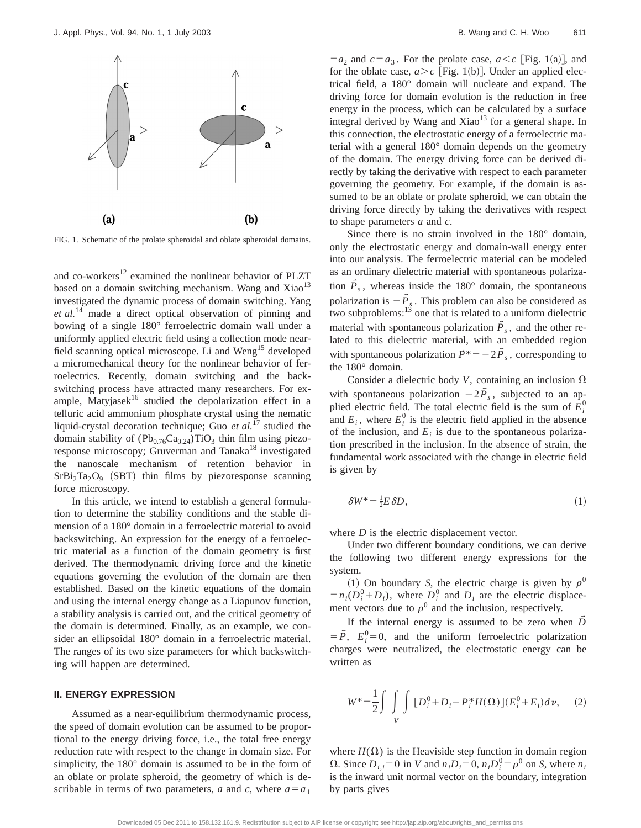

FIG. 1. Schematic of the prolate spheroidal and oblate spheroidal domains.

and co-workers $12$  examined the nonlinear behavior of PLZT based on a domain switching mechanism. Wang and  $Xiao<sup>13</sup>$ investigated the dynamic process of domain switching. Yang *et al.*<sup>14</sup> made a direct optical observation of pinning and bowing of a single 180° ferroelectric domain wall under a uniformly applied electric field using a collection mode nearfield scanning optical microscope. Li and Weng<sup>15</sup> developed a micromechanical theory for the nonlinear behavior of ferroelectrics. Recently, domain switching and the backswitching process have attracted many researchers. For example, Matyjasek<sup>16</sup> studied the depolarization effect in a telluric acid ammonium phosphate crystal using the nematic liquid-crystal decoration technique; Guo *et al.*<sup>17</sup> studied the domain stability of  $(Pb_{0.76}Ca_{0.24})TiO_3$  thin film using piezoresponse microscopy; Gruverman and Tanaka<sup>18</sup> investigated the nanoscale mechanism of retention behavior in  $SrBi<sub>2</sub>Ta<sub>2</sub>O<sub>9</sub>$  (SBT) thin films by piezoresponse scanning force microscopy.

In this article, we intend to establish a general formulation to determine the stability conditions and the stable dimension of a 180° domain in a ferroelectric material to avoid backswitching. An expression for the energy of a ferroelectric material as a function of the domain geometry is first derived. The thermodynamic driving force and the kinetic equations governing the evolution of the domain are then established. Based on the kinetic equations of the domain and using the internal energy change as a Liapunov function, a stability analysis is carried out, and the critical geometry of the domain is determined. Finally, as an example, we consider an ellipsoidal 180° domain in a ferroelectric material. The ranges of its two size parameters for which backswitching will happen are determined.

#### **II. ENERGY EXPRESSION**

Assumed as a near-equilibrium thermodynamic process, the speed of domain evolution can be assumed to be proportional to the energy driving force, i.e., the total free energy reduction rate with respect to the change in domain size. For simplicity, the 180° domain is assumed to be in the form of an oblate or prolate spheroid, the geometry of which is describable in terms of two parameters, *a* and *c*, where  $a = a_1$ 

 $=a_2$  and  $c=a_3$ . For the prolate case,  $a < c$  [Fig. 1(a)], and for the oblate case,  $a > c$  [Fig. 1(b)]. Under an applied electrical field, a 180° domain will nucleate and expand. The driving force for domain evolution is the reduction in free energy in the process, which can be calculated by a surface integral derived by Wang and  $Xiao<sup>13</sup>$  for a general shape. In this connection, the electrostatic energy of a ferroelectric material with a general 180° domain depends on the geometry of the domain. The energy driving force can be derived directly by taking the derivative with respect to each parameter governing the geometry. For example, if the domain is assumed to be an oblate or prolate spheroid, we can obtain the driving force directly by taking the derivatives with respect to shape parameters *a* and *c*.

Since there is no strain involved in the 180° domain, only the electrostatic energy and domain-wall energy enter into our analysis. The ferroelectric material can be modeled as an ordinary dielectric material with spontaneous polarization  $\overline{P}_s$ , whereas inside the 180° domain, the spontaneous polarization is  $-\vec{P}_s$ . This problem can also be considered as two subproblems: $\frac{13}{13}$  one that is related to a uniform dielectric material with spontaneous polarization  $\vec{P}_s$ , and the other related to this dielectric material, with an embedded region with spontaneous polarization  $P^* = -2\overline{P}_s$ , corresponding to the 180° domain.

Consider a dielectric body *V*, containing an inclusion  $\Omega$ with spontaneous polarization  $-2\overline{P}_s$ , subjected to an applied electric field. The total electric field is the sum of  $E_i^0$ and  $E_i$ , where  $E_i^0$  is the electric field applied in the absence of the inclusion, and  $E_i$  is due to the spontaneous polarization prescribed in the inclusion. In the absence of strain, the fundamental work associated with the change in electric field is given by

$$
\delta W^* = \frac{1}{2} E \, \delta D,\tag{1}
$$

where *D* is the electric displacement vector.

Under two different boundary conditions, we can derive the following two different energy expressions for the system.

(1) On boundary *S*, the electric charge is given by  $\rho^0$  $=n_i(D_i^0+D_i)$ , where  $D_i^0$  and  $D_i$  are the electric displacement vectors due to  $\rho^0$  and the inclusion, respectively.

If the internal energy is assumed to be zero when  $\overline{D}$  $= \vec{P}$ ,  $E_i^0 = 0$ , and the uniform ferroelectric polarization charges were neutralized, the electrostatic energy can be written as

$$
W^* = \frac{1}{2} \int \int \int \int [D_i^0 + D_i - P_i^* H(\Omega)] (E_i^0 + E_i) d\nu, \quad (2)
$$

where  $H(\Omega)$  is the Heaviside step function in domain region  $\Omega$ . Since  $D_{i,i}=0$  in *V* and  $n_iD_i=0$ ,  $n_iD_i^0=\rho^0$  on *S*, where  $n_i$ is the inward unit normal vector on the boundary, integration by parts gives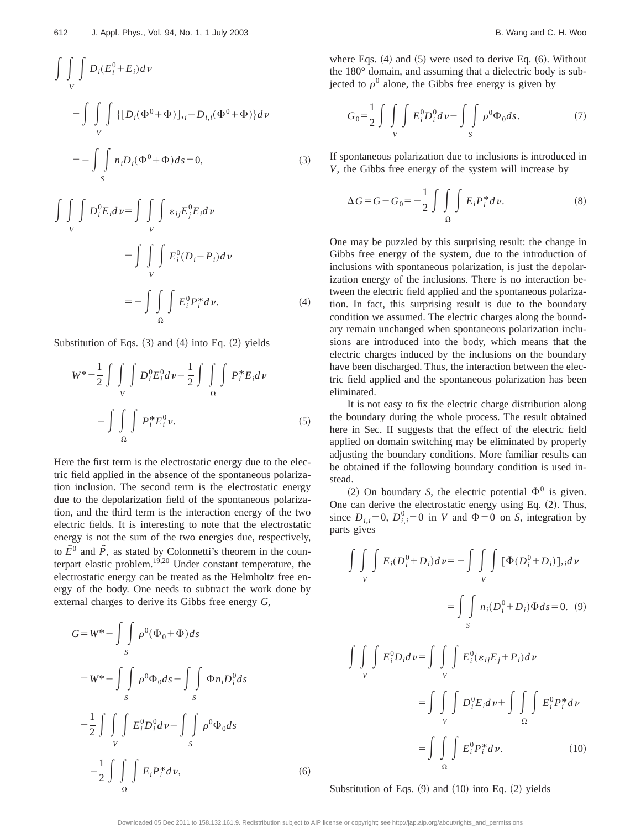$$
\int\int\int\int_{V} D_i(E_i^0 + E_i) d\nu
$$
\n
$$
= \int\int\int\int_{V} \{ [D_i(\Phi^0 + \Phi)]_{,i} - D_{i,i}(\Phi^0 + \Phi)] d\nu
$$
\n
$$
= - \int\int\int_{S} n_i D_i(\Phi^0 + \Phi) d\Phi = 0,
$$
\n(3)

$$
\int\int\int_{V} D_i^0 E_i dv = \int\int\int_{V} \varepsilon_{ij} E_j^0 E_i dv
$$

$$
= \int\int\int_{V} E_i^0 (D_i - P_i) dv
$$

$$
= - \int\int\int_{\Omega} \int_{V} E_i^0 P_i^* dv. \tag{4}
$$

Substitution of Eqs.  $(3)$  and  $(4)$  into Eq.  $(2)$  yields

$$
W^* = \frac{1}{2} \int \int \int \int D_i^0 E_i^0 d\nu - \frac{1}{2} \int \int \int \int P_i^* E_i d\nu
$$

$$
- \int \int \int \int P_i^* E_i^0 \nu.
$$
 (5)

Here the first term is the electrostatic energy due to the electric field applied in the absence of the spontaneous polarization inclusion. The second term is the electrostatic energy due to the depolarization field of the spontaneous polarization, and the third term is the interaction energy of the two electric fields. It is interesting to note that the electrostatic energy is not the sum of the two energies due, respectively, to  $\vec{E}^0$  and  $\vec{P}$ , as stated by Colonnetti's theorem in the counterpart elastic problem. $19,20$  Under constant temperature, the electrostatic energy can be treated as the Helmholtz free energy of the body. One needs to subtract the work done by external charges to derive its Gibbs free energy *G*,

$$
G = W^* - \int\int\limits_{S} \rho^0 (\Phi_0 + \Phi) ds
$$
  
=  $W^* - \int\int\limits_{S} \rho^0 \Phi_0 ds - \int\int\limits_{S} \Phi_{n_i} D_i^0 ds$   
=  $\frac{1}{2} \int\int\int\limits_{V} \int E_i^0 D_i^0 d\nu - \int\int\limits_{S} \rho^0 \Phi_0 ds$   
 $-\frac{1}{2} \int\int\int\limits_{\Omega} \int E_i P_i^* d\nu,$  (6)

where Eqs.  $(4)$  and  $(5)$  were used to derive Eq.  $(6)$ . Without the 180° domain, and assuming that a dielectric body is subjected to  $\rho^0$  alone, the Gibbs free energy is given by

$$
G_0 = \frac{1}{2} \int \int \int \int E_i^0 D_i^0 d\nu - \int \int \int \rho^0 \Phi_0 ds.
$$
 (7)

If spontaneous polarization due to inclusions is introduced in *V*, the Gibbs free energy of the system will increase by

$$
\Delta G = G - G_0 = -\frac{1}{2} \int \int \int \int E_i P_i^* d\nu.
$$
 (8)

One may be puzzled by this surprising result: the change in Gibbs free energy of the system, due to the introduction of inclusions with spontaneous polarization, is just the depolarization energy of the inclusions. There is no interaction between the electric field applied and the spontaneous polarization. In fact, this surprising result is due to the boundary condition we assumed. The electric charges along the boundary remain unchanged when spontaneous polarization inclusions are introduced into the body, which means that the electric charges induced by the inclusions on the boundary have been discharged. Thus, the interaction between the electric field applied and the spontaneous polarization has been eliminated.

It is not easy to fix the electric charge distribution along the boundary during the whole process. The result obtained here in Sec. II suggests that the effect of the electric field applied on domain switching may be eliminated by properly adjusting the boundary conditions. More familiar results can be obtained if the following boundary condition is used instead.

(2) On boundary *S*, the electric potential  $\Phi^0$  is given. One can derive the electrostatic energy using Eq.  $(2)$ . Thus, since  $D_{i,i}=0$ ,  $D_{i,i}^{0}=0$  in *V* and  $\Phi=0$  on *S*, integration by parts gives

$$
\int\int\int\int\int E_i(D_i^0+D_i)dv = -\int\int\int\int\int\left[\Phi(D_i^0+D_i)\right],i dv
$$

$$
= \int\int\int\int n_i(D_i^0+D_i)\Phi ds = 0. \quad (9)
$$

$$
\int\int\int\int E_i^0D_i dv = \int\int\int\int E_i^0(\varepsilon_{ij}E_j + P_i)dv
$$

$$
= \int\int\int\int\int D_i^0E_i dv + \int\int\int\int\int E_i^0 P_i^* dv
$$

$$
= \int\int\int\int\int E_i^0 P_i^* dv.
$$
 (10)

Substitution of Eqs.  $(9)$  and  $(10)$  into Eq.  $(2)$  yields

Downloaded 05 Dec 2011 to 158.132.161.9. Redistribution subject to AIP license or copyright; see http://jap.aip.org/about/rights\_and\_permissions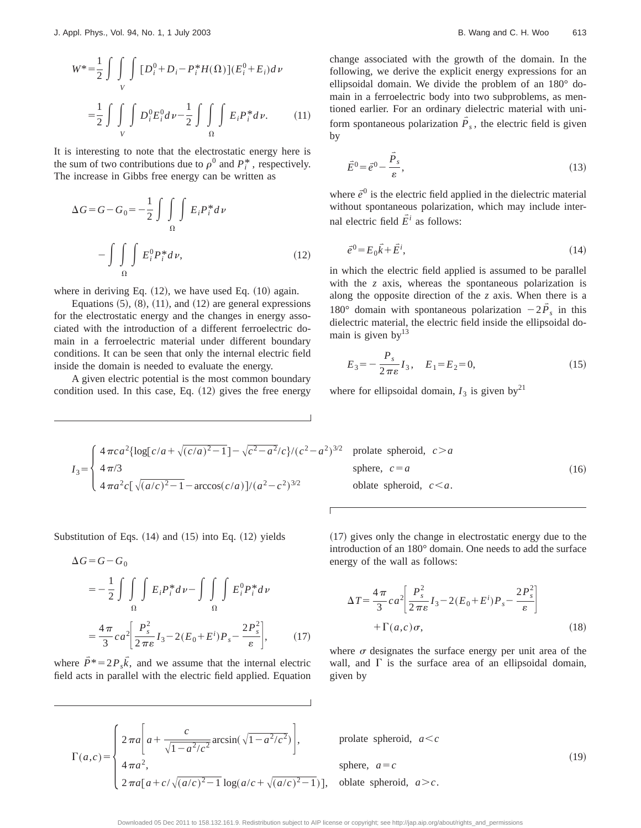$$
W^* = \frac{1}{2} \int \int \int \int [D_i^0 + D_i - P_i^* H(\Omega)] (E_i^0 + E_i) dv
$$
  

$$
= \frac{1}{2} \int \int \int \int D_i^0 E_i^0 dv - \frac{1}{2} \int \int \int E_i P_i^* dv.
$$
 (11)

It is interesting to note that the electrostatic energy here is the sum of two contributions due to  $\rho^0$  and  $P_i^*$ , respectively. The increase in Gibbs free energy can be written as

$$
\Delta G = G - G_0 = -\frac{1}{2} \int \int \int \int E_i P_i^* d\nu
$$

$$
- \int \int \int \int E_i^0 P_i^* d\nu, \qquad (12)
$$

where in deriving Eq.  $(12)$ , we have used Eq.  $(10)$  again.

Equations  $(5)$ ,  $(8)$ ,  $(11)$ , and  $(12)$  are general expressions for the electrostatic energy and the changes in energy associated with the introduction of a different ferroelectric domain in a ferroelectric material under different boundary conditions. It can be seen that only the internal electric field inside the domain is needed to evaluate the energy.

A given electric potential is the most common boundary condition used. In this case, Eq.  $(12)$  gives the free energy change associated with the growth of the domain. In the following, we derive the explicit energy expressions for an ellipsoidal domain. We divide the problem of an 180° domain in a ferroelectric body into two subproblems, as mentioned earlier. For an ordinary dielectric material with uniform spontaneous polarization  $\overline{P}_s$ , the electric field is given by

$$
\vec{E}^0 = \vec{e}^0 - \frac{\vec{P}_s}{\varepsilon},\tag{13}
$$

where  $\vec{e}^0$  is the electric field applied in the dielectric material without spontaneous polarization, which may include internal electric field  $\vec{E}^i$  as follows:

$$
\vec{e}^0 = E_0 \vec{k} + \vec{E}^i,\tag{14}
$$

in which the electric field applied is assumed to be parallel with the *z* axis, whereas the spontaneous polarization is along the opposite direction of the *z* axis. When there is a 180° domain with spontaneous polarization  $-2\overline{P}_s$  in this dielectric material, the electric field inside the ellipsoidal domain is given by  $13$ 

$$
E_3 = -\frac{P_s}{2\pi\varepsilon}I_3, \quad E_1 = E_2 = 0,\tag{15}
$$

where for ellipsoidal domain,  $I_3$  is given by<sup>21</sup>

$$
I_3 = \begin{cases} 4 \pi c a^2 {\log[c/a + \sqrt{(c/a)^2 - 1}]} - \sqrt{c^2 - a^2/c} / (c^2 - a^2)^{3/2} & \text{prolate sphere} \\ 4 \pi / 3 & \text{sphere, } c = a \\ 4 \pi a^2 c [\sqrt{(a/c)^2 - 1} - \arccos(c/a)] / (a^2 - c^2)^{3/2} & \text{oblate sphere.} \end{cases}
$$

$$
3/2 \quad \text{prolate spheroid, } c > a
$$
\n
$$
sphere, \quad c = a
$$
\n
$$
c = a
$$
\n
$$
c < a
$$
\n
$$
sphere, \quad c < a
$$
\n
$$
sphere, \quad c < a
$$
\n
$$
sphere, \quad c < a
$$

Substitution of Eqs.  $(14)$  and  $(15)$  into Eq.  $(12)$  yields

$$
\Delta G = G - G_0
$$
  
=  $-\frac{1}{2} \int \int \int E_i P_i^* d\nu - \int \int \int E_i^0 P_i^* d\nu$   
=  $\frac{4\pi}{3} c a^2 \left[ \frac{P_s^2}{2\pi \varepsilon} I_3 - 2(E_0 + E^i) P_s - \frac{2P_s^2}{\varepsilon} \right],$  (17)

where  $\vec{P}^* = 2P_s\vec{k}$ , and we assume that the internal electric field acts in parallel with the electric field applied. Equation

 $\Gamma(a,c)$ =

sphere, 
$$
c=a
$$
  
\noblate spheroid,  $c < a$ .

 $(17)$  gives only the change in electrostatic energy due to the introduction of an 180° domain. One needs to add the surface energy of the wall as follows:

$$
\Delta T = \frac{4\pi}{3} ca^2 \left[ \frac{P_s^2}{2\pi \varepsilon} I_3 - 2(E_0 + E^i) P_s - \frac{2P_s^2}{\varepsilon} \right]
$$
  
+  $\Gamma(a,c)\sigma$ , (18)

where  $\sigma$  designates the surface energy per unit area of the wall, and  $\Gamma$  is the surface area of an ellipsoidal domain, given by

 $2\pi a \left[ a + \frac{c}{\sqrt{1 - a^2/c^2}} \arcsin(\sqrt{1 - a^2/c^2}) \right],$  prolate spheroid,  $a < c$ 

$$
4\pi a^2,
$$
 sphere,  $a = c$   
\n
$$
2\pi a[a+c/\sqrt{(a/c)^2-1} \log(a/c+\sqrt{(a/c)^2-1})],
$$
 oblate spheroid,  $a>c$ . (19)

Downloaded 05 Dec 2011 to 158.132.161.9. Redistribution subject to AIP license or copyright; see http://jap.aip.org/about/rights\_and\_permissions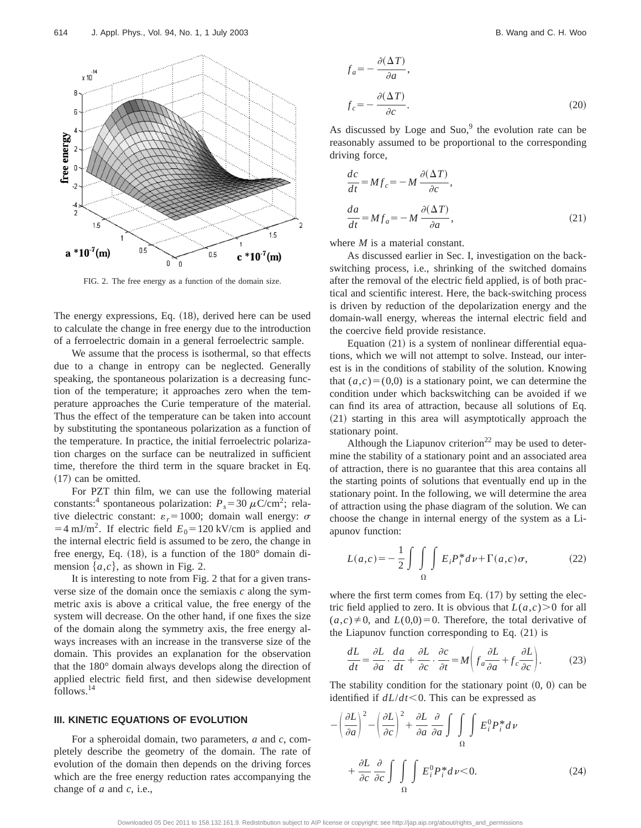

FIG. 2. The free energy as a function of the domain size.

The energy expressions, Eq. (18), derived here can be used to calculate the change in free energy due to the introduction of a ferroelectric domain in a general ferroelectric sample.

We assume that the process is isothermal, so that effects due to a change in entropy can be neglected. Generally speaking, the spontaneous polarization is a decreasing function of the temperature; it approaches zero when the temperature approaches the Curie temperature of the material. Thus the effect of the temperature can be taken into account by substituting the spontaneous polarization as a function of the temperature. In practice, the initial ferroelectric polarization charges on the surface can be neutralized in sufficient time, therefore the third term in the square bracket in Eq.  $(17)$  can be omitted.

For PZT thin film, we can use the following material constants:<sup>4</sup> spontaneous polarization:  $P_s = 30 \mu \text{C/cm}^2$ ; relative dielectric constant:  $\varepsilon_r = 1000$ ; domain wall energy:  $\sigma$  $=4$  mJ/m<sup>2</sup>. If electric field  $E_0$ =120 kV/cm is applied and the internal electric field is assumed to be zero, the change in free energy, Eq.  $(18)$ , is a function of the  $180^{\circ}$  domain dimension  $\{a,c\}$ , as shown in Fig. 2.

It is interesting to note from Fig. 2 that for a given transverse size of the domain once the semiaxis *c* along the symmetric axis is above a critical value, the free energy of the system will decrease. On the other hand, if one fixes the size of the domain along the symmetry axis, the free energy always increases with an increase in the transverse size of the domain. This provides an explanation for the observation that the 180° domain always develops along the direction of applied electric field first, and then sidewise development follows.14

#### **III. KINETIC EQUATIONS OF EVOLUTION**

For a spheroidal domain, two parameters, *a* and *c*, completely describe the geometry of the domain. The rate of evolution of the domain then depends on the driving forces which are the free energy reduction rates accompanying the change of *a* and *c*, i.e.,

$$
f_a = -\frac{\partial(\Delta T)}{\partial a},
$$
  

$$
f_c = -\frac{\partial(\Delta T)}{\partial c}.
$$
 (20)

As discussed by Loge and Suo, $9$  the evolution rate can be reasonably assumed to be proportional to the corresponding driving force,

$$
\frac{dc}{dt} = Mf_c = -M \frac{\partial(\Delta T)}{\partial c},
$$
  

$$
\frac{da}{dt} = Mf_a = -M \frac{\partial(\Delta T)}{\partial a},
$$
 (21)

where *M* is a material constant.

As discussed earlier in Sec. I, investigation on the backswitching process, i.e., shrinking of the switched domains after the removal of the electric field applied, is of both practical and scientific interest. Here, the back-switching process is driven by reduction of the depolarization energy and the domain-wall energy, whereas the internal electric field and the coercive field provide resistance.

Equation  $(21)$  is a system of nonlinear differential equations, which we will not attempt to solve. Instead, our interest is in the conditions of stability of the solution. Knowing that  $(a, c) = (0, 0)$  is a stationary point, we can determine the condition under which backswitching can be avoided if we can find its area of attraction, because all solutions of Eq.  $(21)$  starting in this area will asymptotically approach the stationary point.

Although the Liapunov criterion<sup>22</sup> may be used to determine the stability of a stationary point and an associated area of attraction, there is no guarantee that this area contains all the starting points of solutions that eventually end up in the stationary point. In the following, we will determine the area of attraction using the phase diagram of the solution. We can choose the change in internal energy of the system as a Liapunov function:

$$
L(a,c) = -\frac{1}{2} \int \int \int \int E_i P_i^* d\nu + \Gamma(a,c) \sigma,
$$
 (22)

where the first term comes from Eq.  $(17)$  by setting the electric field applied to zero. It is obvious that  $L(a,c) > 0$  for all  $(a, c) \neq 0$ , and  $L(0, 0) = 0$ . Therefore, the total derivative of the Liapunov function corresponding to Eq.  $(21)$  is

$$
\frac{dL}{dt} = \frac{\partial L}{\partial a} \cdot \frac{da}{dt} + \frac{\partial L}{\partial c} \cdot \frac{\partial c}{\partial t} = M \left( f_a \frac{\partial L}{\partial a} + f_c \frac{\partial L}{\partial c} \right). \tag{23}
$$

The stability condition for the stationary point  $(0, 0)$  can be identified if  $dL/dt$ <0. This can be expressed as

$$
-\left(\frac{\partial L}{\partial a}\right)^2 - \left(\frac{\partial L}{\partial c}\right)^2 + \frac{\partial L}{\partial a} \frac{\partial}{\partial a} \int \int \int_{\Omega} E_i^0 P_i^* d\nu
$$

$$
+ \frac{\partial L}{\partial c} \frac{\partial}{\partial c} \int \int \int_{\Omega} E_i^0 P_i^* d\nu < 0.
$$
 (24)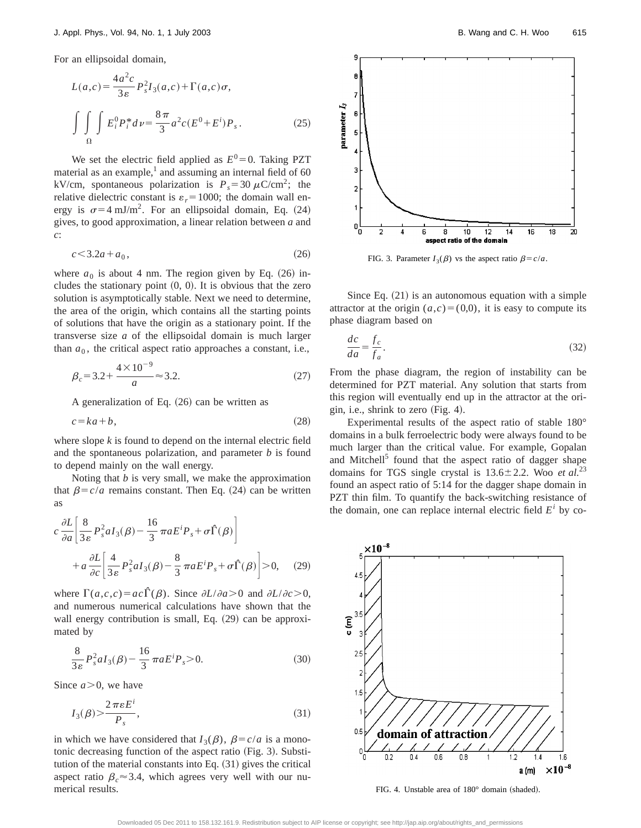For an ellipsoidal domain,

$$
L(a,c) = \frac{4a^2c}{3\varepsilon} P_s^2 I_3(a,c) + \Gamma(a,c)\sigma,
$$
  

$$
\int \int \int E_i^0 P_i^* d\nu = \frac{8\pi}{3} a^2 c (E^0 + E^i) P_s.
$$
 (25)

We set the electric field applied as  $E^0 = 0$ . Taking PZT material as an example, $<sup>1</sup>$  and assuming an internal field of 60</sup> kV/cm, spontaneous polarization is  $P_s = 30 \mu C/cm^2$ ; the relative dielectric constant is  $\varepsilon_r = 1000$ ; the domain wall energy is  $\sigma=4$  mJ/m<sup>2</sup>. For an ellipsoidal domain, Eq. (24) gives, to good approximation, a linear relation between *a* and *c*:

$$
c \le 3.2a + a_0,\tag{26}
$$

where  $a_0$  is about 4 nm. The region given by Eq.  $(26)$  includes the stationary point  $(0, 0)$ . It is obvious that the zero solution is asymptotically stable. Next we need to determine, the area of the origin, which contains all the starting points of solutions that have the origin as a stationary point. If the transverse size *a* of the ellipsoidal domain is much larger than  $a_0$ , the critical aspect ratio approaches a constant, i.e.,

$$
\beta_c = 3.2 + \frac{4 \times 10^{-9}}{a} \approx 3.2. \tag{27}
$$

A generalization of Eq.  $(26)$  can be written as

$$
c = ka + b,\tag{28}
$$

where slope *k* is found to depend on the internal electric field and the spontaneous polarization, and parameter *b* is found to depend mainly on the wall energy.

Noting that *b* is very small, we make the approximation that  $\beta = c/a$  remains constant. Then Eq. (24) can be written as

$$
c \frac{\partial L}{\partial a} \left[ \frac{8}{3 \varepsilon} P_s^2 a I_3(\beta) - \frac{16}{3} \pi a E^i P_s + \sigma \hat{\Gamma}(\beta) \right]
$$
  
+ 
$$
a \frac{\partial L}{\partial c} \left[ \frac{4}{3 \varepsilon} P_s^2 a I_3(\beta) - \frac{8}{3} \pi a E^i P_s + \sigma \hat{\Gamma}(\beta) \right] > 0, \quad (29)
$$

where  $\Gamma(a,c,c) = ac\Gamma(\beta)$ . Since  $\partial L/\partial a > 0$  and  $\partial L/\partial c > 0$ , and numerous numerical calculations have shown that the wall energy contribution is small, Eq.  $(29)$  can be approximated by

$$
\frac{8}{3\varepsilon} P_s^2 a I_3(\beta) - \frac{16}{3} \pi a E^i P_s > 0.
$$
 (30)

Since  $a > 0$ , we have

$$
I_3(\beta) > \frac{2\pi\epsilon E^i}{P_s},\tag{31}
$$

in which we have considered that  $I_3(\beta)$ ,  $\beta = c/a$  is a monotonic decreasing function of the aspect ratio  $(Fig. 3)$ . Substitution of the material constants into Eq.  $(31)$  gives the critical aspect ratio  $\beta_c \approx 3.4$ , which agrees very well with our numerical results.



FIG. 3. Parameter  $I_3(\beta)$  vs the aspect ratio  $\beta = c/a$ .

Since Eq.  $(21)$  is an autonomous equation with a simple attractor at the origin  $(a, c) = (0, 0)$ , it is easy to compute its phase diagram based on

$$
\frac{dc}{da} = \frac{f_c}{f_a}.\tag{32}
$$

From the phase diagram, the region of instability can be determined for PZT material. Any solution that starts from this region will eventually end up in the attractor at the origin, i.e., shrink to zero  $(Fig. 4)$ .

Experimental results of the aspect ratio of stable 180° domains in a bulk ferroelectric body were always found to be much larger than the critical value. For example, Gopalan and Mitchell<sup>5</sup> found that the aspect ratio of dagger shape domains for TGS single crystal is  $13.6 \pm 2.2$ . Woo *et al.*<sup>23</sup> found an aspect ratio of 5:14 for the dagger shape domain in PZT thin film. To quantify the back-switching resistance of the domain, one can replace internal electric field  $E^i$  by co-



FIG. 4. Unstable area of  $180^\circ$  domain (shaded).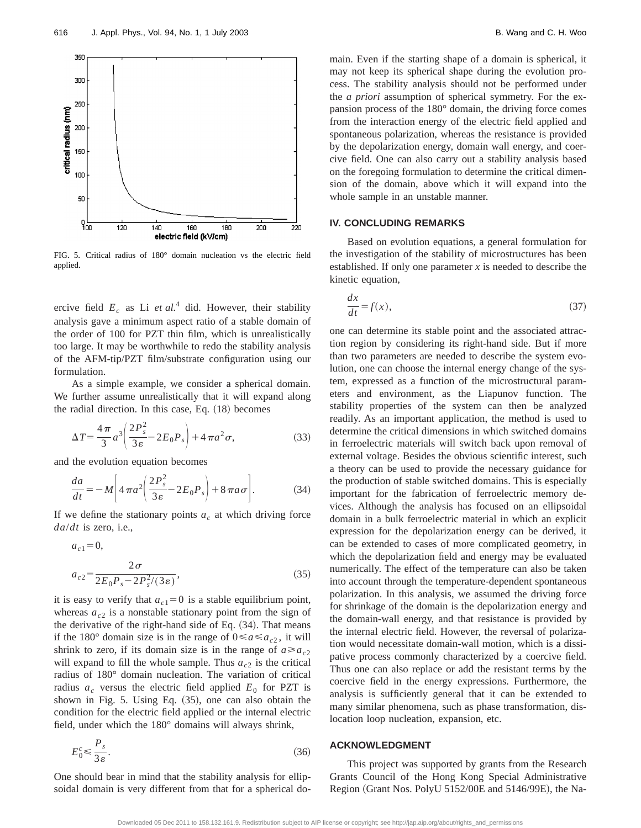

FIG. 5. Critical radius of 180° domain nucleation vs the electric field applied.

ercive field  $E_c$  as Li *et al.*<sup>4</sup> did. However, their stability analysis gave a minimum aspect ratio of a stable domain of the order of 100 for PZT thin film, which is unrealistically too large. It may be worthwhile to redo the stability analysis of the AFM-tip/PZT film/substrate configuration using our formulation.

As a simple example, we consider a spherical domain. We further assume unrealistically that it will expand along the radial direction. In this case, Eq.  $(18)$  becomes

$$
\Delta T = \frac{4\pi}{3} a^3 \left( \frac{2P_s^2}{3\varepsilon} - 2E_0 P_s \right) + 4\pi a^2 \sigma,
$$
\n(33)

and the evolution equation becomes

$$
\frac{da}{dt} = -M \bigg[ 4 \pi a^2 \bigg( \frac{2P_s^2}{3\varepsilon} - 2E_0 P_s \bigg) + 8 \pi a \sigma \bigg].
$$
 (34)

If we define the stationary points  $a<sub>c</sub>$  at which driving force *da*/*dt* is zero, i.e.,

$$
a_{c1} = 0,
$$
  
\n
$$
a_{c2} = \frac{2\sigma}{2E_0 P_s - 2P_s^2/(3\varepsilon)},
$$
\n(35)

it is easy to verify that  $a_{c1} = 0$  is a stable equilibrium point, whereas  $a_{c2}$  is a nonstable stationary point from the sign of the derivative of the right-hand side of Eq.  $(34)$ . That means if the 180° domain size is in the range of  $0 \le a \le a_{c2}$ , it will shrink to zero, if its domain size is in the range of  $a \ge a_{c2}$ will expand to fill the whole sample. Thus  $a_{c2}$  is the critical radius of 180° domain nucleation. The variation of critical radius  $a_c$  versus the electric field applied  $E_0$  for PZT is shown in Fig.  $5.$  Using Eq.  $(35)$ , one can also obtain the condition for the electric field applied or the internal electric field, under which the 180° domains will always shrink,

$$
E_0^c \le \frac{P_s}{3\varepsilon}.\tag{36}
$$

One should bear in mind that the stability analysis for ellipsoidal domain is very different from that for a spherical domain. Even if the starting shape of a domain is spherical, it may not keep its spherical shape during the evolution process. The stability analysis should not be performed under the *a priori* assumption of spherical symmetry. For the expansion process of the 180° domain, the driving force comes from the interaction energy of the electric field applied and spontaneous polarization, whereas the resistance is provided by the depolarization energy, domain wall energy, and coercive field. One can also carry out a stability analysis based on the foregoing formulation to determine the critical dimension of the domain, above which it will expand into the whole sample in an unstable manner.

#### **IV. CONCLUDING REMARKS**

Based on evolution equations, a general formulation for the investigation of the stability of microstructures has been established. If only one parameter *x* is needed to describe the kinetic equation,

$$
\frac{dx}{dt} = f(x),\tag{37}
$$

one can determine its stable point and the associated attraction region by considering its right-hand side. But if more than two parameters are needed to describe the system evolution, one can choose the internal energy change of the system, expressed as a function of the microstructural parameters and environment, as the Liapunov function. The stability properties of the system can then be analyzed readily. As an important application, the method is used to determine the critical dimensions in which switched domains in ferroelectric materials will switch back upon removal of external voltage. Besides the obvious scientific interest, such a theory can be used to provide the necessary guidance for the production of stable switched domains. This is especially important for the fabrication of ferroelectric memory devices. Although the analysis has focused on an ellipsoidal domain in a bulk ferroelectric material in which an explicit expression for the depolarization energy can be derived, it can be extended to cases of more complicated geometry, in which the depolarization field and energy may be evaluated numerically. The effect of the temperature can also be taken into account through the temperature-dependent spontaneous polarization. In this analysis, we assumed the driving force for shrinkage of the domain is the depolarization energy and the domain-wall energy, and that resistance is provided by the internal electric field. However, the reversal of polarization would necessitate domain-wall motion, which is a dissipative process commonly characterized by a coercive field. Thus one can also replace or add the resistant terms by the coercive field in the energy expressions. Furthermore, the analysis is sufficiently general that it can be extended to many similar phenomena, such as phase transformation, dislocation loop nucleation, expansion, etc.

#### **ACKNOWLEDGMENT**

This project was supported by grants from the Research Grants Council of the Hong Kong Special Administrative Region (Grant Nos. PolyU 5152/00E and 5146/99E), the Na